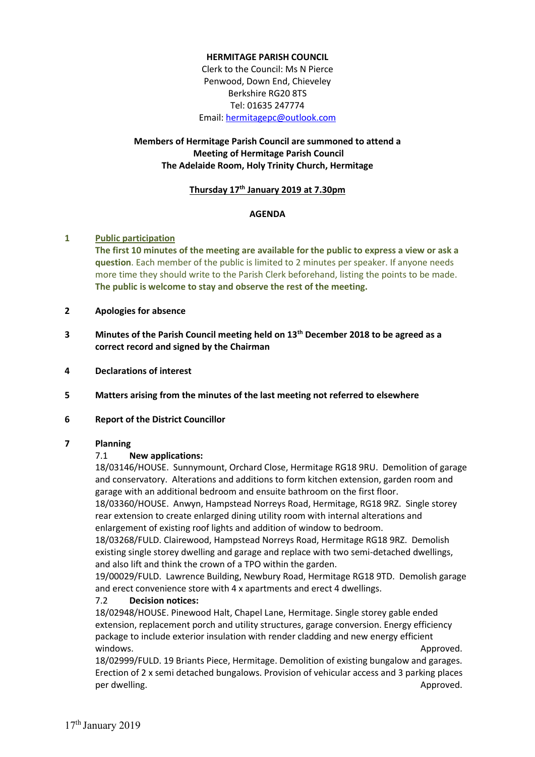## **HERMITAGE PARISH COUNCIL**

Clerk to the Council: Ms N Pierce Penwood, Down End, Chieveley Berkshire RG20 8TS Tel: 01635 247774 Email: [hermitagepc@outlook.com](mailto:hermitagepc@outlook.com)

# **Members of Hermitage Parish Council are summoned to attend a Meeting of Hermitage Parish Council The Adelaide Room, Holy Trinity Church, Hermitage**

#### **Thursday 17th January 2019 at 7.30pm**

#### **AGENDA**

#### **1 Public participation**

**The first 10 minutes of the meeting are available for the public to express a view or ask a question**. Each member of the public is limited to 2 minutes per speaker. If anyone needs more time they should write to the Parish Clerk beforehand, listing the points to be made. **The public is welcome to stay and observe the rest of the meeting.**

### **2 Apologies for absence**

- **3 Minutes of the Parish Council meeting held on 13th December 2018 to be agreed as a correct record and signed by the Chairman**
- **4 Declarations of interest**
- **5 Matters arising from the minutes of the last meeting not referred to elsewhere**

#### **6 Report of the District Councillor**

#### **7 Planning**

#### 7.1 **New applications:**

18/03146/HOUSE. Sunnymount, Orchard Close, Hermitage RG18 9RU. Demolition of garage and conservatory. Alterations and additions to form kitchen extension, garden room and garage with an additional bedroom and ensuite bathroom on the first floor.

18/03360/HOUSE. Anwyn, Hampstead Norreys Road, Hermitage, RG18 9RZ. Single storey rear extension to create enlarged dining utility room with internal alterations and enlargement of existing roof lights and addition of window to bedroom.

18/03268/FULD. Clairewood, Hampstead Norreys Road, Hermitage RG18 9RZ. Demolish existing single storey dwelling and garage and replace with two semi-detached dwellings, and also lift and think the crown of a TPO within the garden.

19/00029/FULD. Lawrence Building, Newbury Road, Hermitage RG18 9TD. Demolish garage and erect convenience store with 4 x apartments and erect 4 dwellings.

#### 7.2 **Decision notices:**

18/02948/HOUSE. Pinewood Halt, Chapel Lane, Hermitage. Single storey gable ended extension, replacement porch and utility structures, garage conversion. Energy efficiency package to include exterior insulation with render cladding and new energy efficient windows. Approved. A series with the series of the series of the series of the series of the series of the series of the series of the series of the series of the series of the series of the series of the series of the ser

18/02999/FULD. 19 Briants Piece, Hermitage. Demolition of existing bungalow and garages. Erection of 2 x semi detached bungalows. Provision of vehicular access and 3 parking places per dwelling. The contract of the contract of the contract of the contract of the contract of the contract of the contract of the contract of the contract of the contract of the contract of the contract of the contract of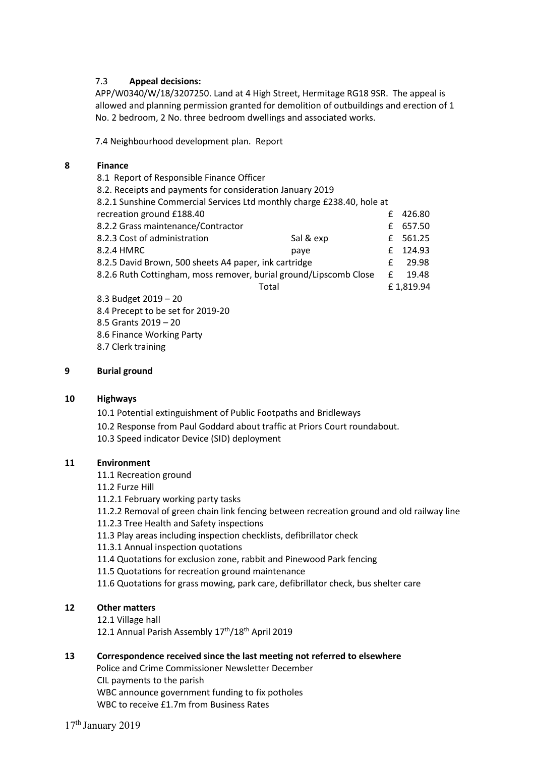## 7.3 **Appeal decisions:**

APP/W0340/W/18/3207250. Land at 4 High Street, Hermitage RG18 9SR. The appeal is allowed and planning permission granted for demolition of outbuildings and erection of 1 No. 2 bedroom, 2 No. three bedroom dwellings and associated works.

7.4 Neighbourhood development plan. Report

### **8 Finance**

| 8.1 Report of Responsible Finance Officer                              |           |   |           |
|------------------------------------------------------------------------|-----------|---|-----------|
| 8.2. Receipts and payments for consideration January 2019              |           |   |           |
| 8.2.1 Sunshine Commercial Services Ltd monthly charge £238.40, hole at |           |   |           |
| recreation ground £188.40                                              |           | f | 426.80    |
| 8.2.2 Grass maintenance/Contractor                                     |           | f | 657.50    |
| 8.2.3 Cost of administration                                           | Sal & exp |   | £ 561.25  |
| 8.2.4 HMRC                                                             | paye      | £ | 124.93    |
| 8.2.5 David Brown, 500 sheets A4 paper, ink cartridge                  |           | f | 29.98     |
| 8.2.6 Ruth Cottingham, moss remover, burial ground/Lipscomb Close      |           | f | 19.48     |
| Total                                                                  |           |   | £1,819.94 |
| 8.3 Budget 2019 - 20                                                   |           |   |           |
| 8.4 Precept to be set for 2019-20                                      |           |   |           |

- 8.5 Grants 2019 20
- 8.6 Finance Working Party
- 8.7 Clerk training

### **9 Burial ground**

#### **10 Highways**

10.1 Potential extinguishment of Public Footpaths and Bridleways

- 10.2 Response from Paul Goddard about traffic at Priors Court roundabout.
- 10.3 Speed indicator Device (SID) deployment

#### **11 Environment**

- 11.1 Recreation ground
- 11.2 Furze Hill
- 11.2.1 February working party tasks
- 11.2.2 Removal of green chain link fencing between recreation ground and old railway line
- 11.2.3 Tree Health and Safety inspections
- 11.3 Play areas including inspection checklists, defibrillator check
- 11.3.1 Annual inspection quotations
- 11.4 Quotations for exclusion zone, rabbit and Pinewood Park fencing
- 11.5 Quotations for recreation ground maintenance
- 11.6 Quotations for grass mowing, park care, defibrillator check, bus shelter care

# **12 Other matters**

- 12.1 Village hall
- 12.1 Annual Parish Assembly 17<sup>th</sup>/18<sup>th</sup> April 2019

#### **13 Correspondence received since the last meeting not referred to elsewhere**

 Police and Crime Commissioner Newsletter December CIL payments to the parish WBC announce government funding to fix potholes WBC to receive £1.7m from Business Rates